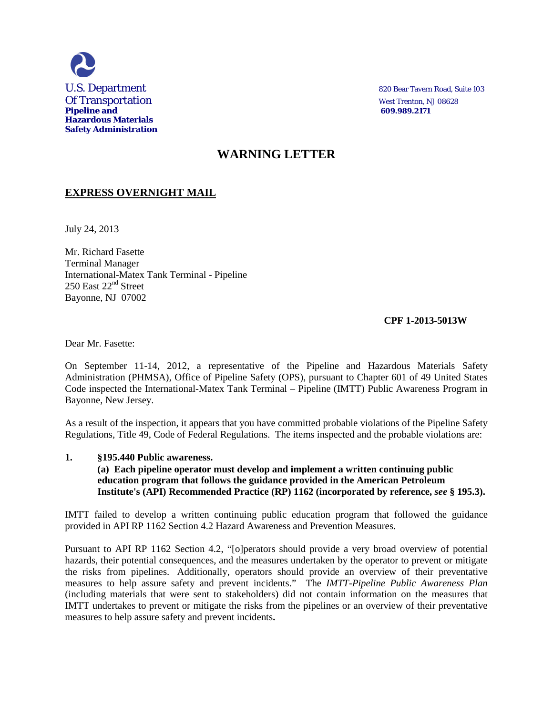

# **WARNING LETTER**

## **EXPRESS OVERNIGHT MAIL**

July 24, 2013

Mr. Richard Fasette Terminal Manager International-Matex Tank Terminal - Pipeline 250 East 22nd Street Bayonne, NJ 07002

## **CPF 1-2013-5013W**

Dear Mr. Fasette:

On September 11-14, 2012, a representative of the Pipeline and Hazardous Materials Safety Administration (PHMSA), Office of Pipeline Safety (OPS), pursuant to Chapter 601 of 49 United States Code inspected the International-Matex Tank Terminal – Pipeline (IMTT) Public Awareness Program in Bayonne, New Jersey.

As a result of the inspection, it appears that you have committed probable violations of the Pipeline Safety Regulations, Title 49, Code of Federal Regulations. The items inspected and the probable violations are:

## **1. §195.440 Public awareness. (a) Each pipeline operator must develop and implement a written continuing public education program that follows the guidance provided in the American Petroleum Institute's (API) Recommended Practice (RP) 1162 (incorporated by reference,** *see* **§ 195.3).**

IMTT failed to develop a written continuing public education program that followed the guidance provided in API RP 1162 Section 4.2 Hazard Awareness and Prevention Measures.

Pursuant to API RP 1162 Section 4.2, "[o]perators should provide a very broad overview of potential hazards, their potential consequences, and the measures undertaken by the operator to prevent or mitigate the risks from pipelines. Additionally, operators should provide an overview of their preventative measures to help assure safety and prevent incidents." The *IMTT-Pipeline Public Awareness Plan*  (including materials that were sent to stakeholders) did not contain information on the measures that IMTT undertakes to prevent or mitigate the risks from the pipelines or an overview of their preventative measures to help assure safety and prevent incidents**.**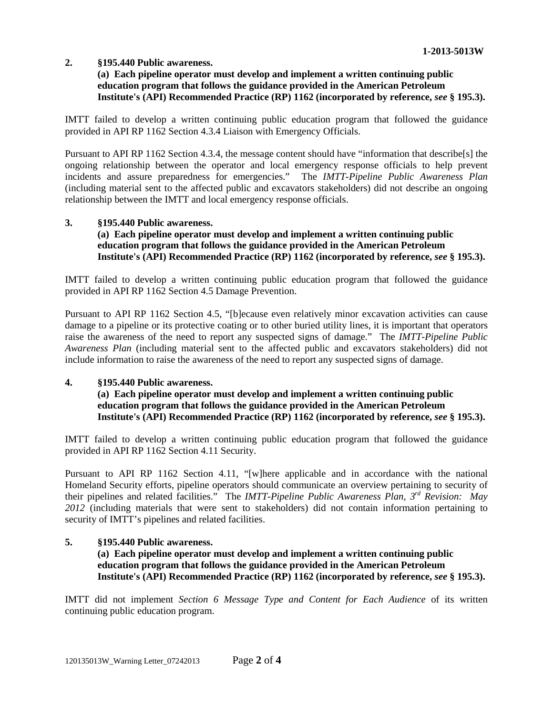## **2. §195.440 Public awareness.**

## **(a) Each pipeline operator must develop and implement a written continuing public education program that follows the guidance provided in the American Petroleum Institute's (API) Recommended Practice (RP) 1162 (incorporated by reference,** *see* **§ 195.3).**

IMTT failed to develop a written continuing public education program that followed the guidance provided in API RP 1162 Section 4.3.4 Liaison with Emergency Officials.

Pursuant to API RP 1162 Section 4.3.4, the message content should have "information that describe[s] the ongoing relationship between the operator and local emergency response officials to help prevent incidents and assure preparedness for emergencies." The *IMTT-Pipeline Public Awareness Plan* (including material sent to the affected public and excavators stakeholders) did not describe an ongoing relationship between the IMTT and local emergency response officials.

#### **3. §195.440 Public awareness.**

## **(a) Each pipeline operator must develop and implement a written continuing public education program that follows the guidance provided in the American Petroleum Institute's (API) Recommended Practice (RP) 1162 (incorporated by reference,** *see* **§ 195.3).**

IMTT failed to develop a written continuing public education program that followed the guidance provided in API RP 1162 Section 4.5 Damage Prevention.

Pursuant to API RP 1162 Section 4.5, "[b]ecause even relatively minor excavation activities can cause damage to a pipeline or its protective coating or to other buried utility lines, it is important that operators raise the awareness of the need to report any suspected signs of damage." The *IMTT-Pipeline Public Awareness Plan* (including material sent to the affected public and excavators stakeholders) did not include information to raise the awareness of the need to report any suspected signs of damage.

## **4. §195.440 Public awareness.**

## **(a) Each pipeline operator must develop and implement a written continuing public education program that follows the guidance provided in the American Petroleum Institute's (API) Recommended Practice (RP) 1162 (incorporated by reference,** *see* **§ 195.3).**

IMTT failed to develop a written continuing public education program that followed the guidance provided in API RP 1162 Section 4.11 Security.

Pursuant to API RP 1162 Section 4.11, "[w]here applicable and in accordance with the national Homeland Security efforts, pipeline operators should communicate an overview pertaining to security of their pipelines and related facilities." The *IMTT-Pipeline Public Awareness Plan, 3rd Revision: May*  2012<sup> (including materials that were sent to stakeholders) did not contain information pertaining to</sup> security of IMTT's pipelines and related facilities.

## **5. §195.440 Public awareness.**

**(a) Each pipeline operator must develop and implement a written continuing public education program that follows the guidance provided in the American Petroleum Institute's (API) Recommended Practice (RP) 1162 (incorporated by reference,** *see* **§ 195.3).** 

IMTT did not implement *Section 6 Message Type and Content for Each Audience* of its written continuing public education program.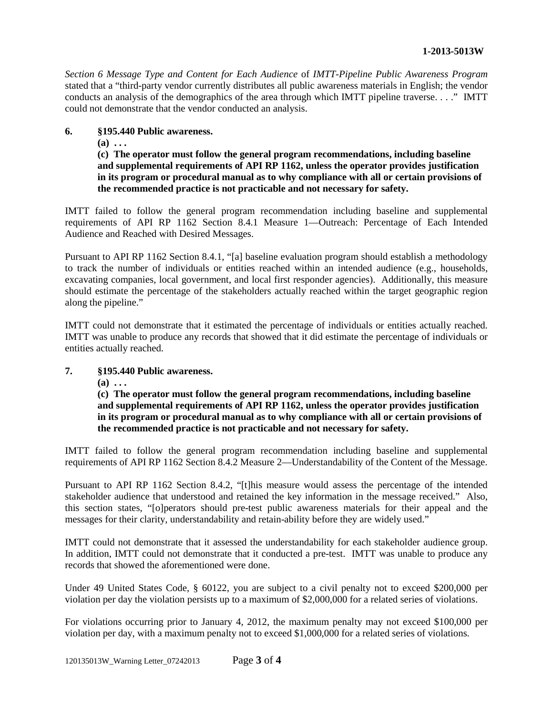*Section 6 Message Type and Content for Each Audience* of *IMTT-Pipeline Public Awareness Program* stated that a "third-party vendor currently distributes all public awareness materials in English; the vendor conducts an analysis of the demographics of the area through which IMTT pipeline traverse. . . ." IMTT could not demonstrate that the vendor conducted an analysis.

#### **6. §195.440 Public awareness.**

**(a) . . .**

**(c) The operator must follow the general program recommendations, including baseline and supplemental requirements of API RP 1162, unless the operator provides justification in its program or procedural manual as to why compliance with all or certain provisions of the recommended practice is not practicable and not necessary for safety.**

IMTT failed to follow the general program recommendation including baseline and supplemental requirements of API RP 1162 Section 8.4.1 Measure 1—Outreach: Percentage of Each Intended Audience and Reached with Desired Messages.

Pursuant to API RP 1162 Section 8.4.1, "[a] baseline evaluation program should establish a methodology to track the number of individuals or entities reached within an intended audience (e.g., households, excavating companies, local government, and local first responder agencies). Additionally, this measure should estimate the percentage of the stakeholders actually reached within the target geographic region along the pipeline."

IMTT could not demonstrate that it estimated the percentage of individuals or entities actually reached. IMTT was unable to produce any records that showed that it did estimate the percentage of individuals or entities actually reached.

## **7. §195.440 Public awareness.**

**(a) . . .**

**(c) The operator must follow the general program recommendations, including baseline and supplemental requirements of API RP 1162, unless the operator provides justification in its program or procedural manual as to why compliance with all or certain provisions of the recommended practice is not practicable and not necessary for safety.**

IMTT failed to follow the general program recommendation including baseline and supplemental requirements of API RP 1162 Section 8.4.2 Measure 2—Understandability of the Content of the Message.

Pursuant to API RP 1162 Section 8.4.2, "[t]his measure would assess the percentage of the intended stakeholder audience that understood and retained the key information in the message received." Also, this section states, "[o]perators should pre-test public awareness materials for their appeal and the messages for their clarity, understandability and retain-ability before they are widely used."

IMTT could not demonstrate that it assessed the understandability for each stakeholder audience group. In addition, IMTT could not demonstrate that it conducted a pre-test. IMTT was unable to produce any records that showed the aforementioned were done.

Under 49 United States Code, § 60122, you are subject to a civil penalty not to exceed \$200,000 per violation per day the violation persists up to a maximum of \$2,000,000 for a related series of violations.

For violations occurring prior to January 4, 2012, the maximum penalty may not exceed \$100,000 per violation per day, with a maximum penalty not to exceed \$1,000,000 for a related series of violations.